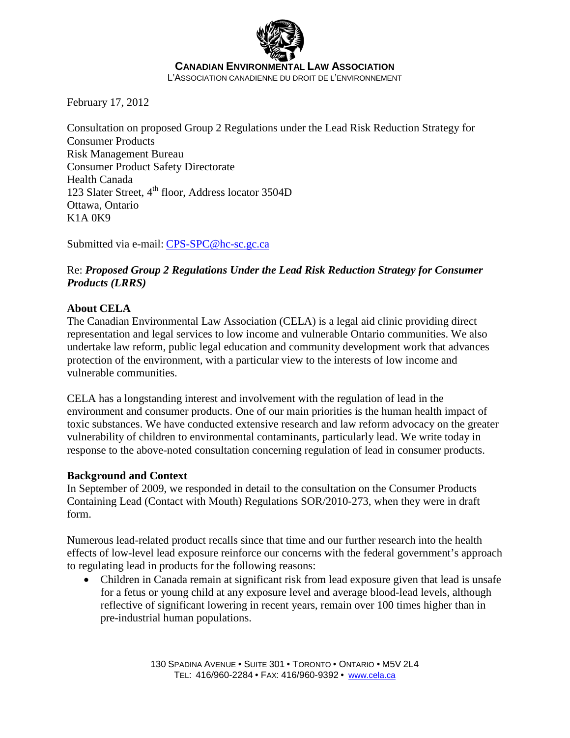

February 17, 2012

Consultation on proposed Group 2 Regulations under the Lead Risk Reduction Strategy for Consumer Products Risk Management Bureau Consumer Product Safety Directorate Health Canada 123 Slater Street, 4<sup>th</sup> floor, Address locator 3504D Ottawa, Ontario K1A 0K9

Submitted via e-mail: CPS-SPC@hc-sc.gc.ca

## Re: *Proposed Group 2 Regulations Under the Lead Risk Reduction Strategy for Consumer Products (LRRS)*

## **About CELA**

The Canadian Environmental Law Association (CELA) is a legal aid clinic providing direct representation and legal services to low income and vulnerable Ontario communities. We also undertake law reform, public legal education and community development work that advances protection of the environment, with a particular view to the interests of low income and vulnerable communities.

CELA has a longstanding interest and involvement with the regulation of lead in the environment and consumer products. One of our main priorities is the human health impact of toxic substances. We have conducted extensive research and law reform advocacy on the greater vulnerability of children to environmental contaminants, particularly lead. We write today in response to the above-noted consultation concerning regulation of lead in consumer products.

## **Background and Context**

In September of 2009, we responded in detail to the consultation on the Consumer Products Containing Lead (Contact with Mouth) Regulations SOR/2010-273, when they were in draft form.

Numerous lead-related product recalls since that time and our further research into the health effects of low-level lead exposure reinforce our concerns with the federal government's approach to regulating lead in products for the following reasons:

• Children in Canada remain at significant risk from lead exposure given that lead is unsafe for a fetus or young child at any exposure level and average blood-lead levels, although reflective of significant lowering in recent years, remain over 100 times higher than in pre-industrial human populations.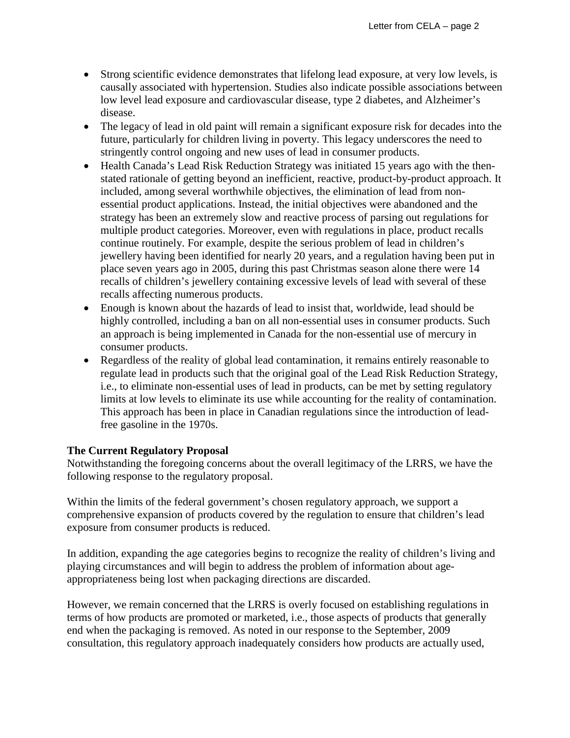- Strong scientific evidence demonstrates that lifelong lead exposure, at very low levels, is causally associated with hypertension. Studies also indicate possible associations between low level lead exposure and cardiovascular disease, type 2 diabetes, and Alzheimer's disease.
- The legacy of lead in old paint will remain a significant exposure risk for decades into the future, particularly for children living in poverty. This legacy underscores the need to stringently control ongoing and new uses of lead in consumer products.
- Health Canada's Lead Risk Reduction Strategy was initiated 15 years ago with the thenstated rationale of getting beyond an inefficient, reactive, product-by-product approach. It included, among several worthwhile objectives, the elimination of lead from nonessential product applications. Instead, the initial objectives were abandoned and the strategy has been an extremely slow and reactive process of parsing out regulations for multiple product categories. Moreover, even with regulations in place, product recalls continue routinely. For example, despite the serious problem of lead in children's jewellery having been identified for nearly 20 years, and a regulation having been put in place seven years ago in 2005, during this past Christmas season alone there were 14 recalls of children's jewellery containing excessive levels of lead with several of these recalls affecting numerous products.
- Enough is known about the hazards of lead to insist that, worldwide, lead should be highly controlled, including a ban on all non-essential uses in consumer products. Such an approach is being implemented in Canada for the non-essential use of mercury in consumer products.
- Regardless of the reality of global lead contamination, it remains entirely reasonable to regulate lead in products such that the original goal of the Lead Risk Reduction Strategy, i.e., to eliminate non-essential uses of lead in products, can be met by setting regulatory limits at low levels to eliminate its use while accounting for the reality of contamination. This approach has been in place in Canadian regulations since the introduction of leadfree gasoline in the 1970s.

## **The Current Regulatory Proposal**

Notwithstanding the foregoing concerns about the overall legitimacy of the LRRS, we have the following response to the regulatory proposal.

Within the limits of the federal government's chosen regulatory approach, we support a comprehensive expansion of products covered by the regulation to ensure that children's lead exposure from consumer products is reduced.

In addition, expanding the age categories begins to recognize the reality of children's living and playing circumstances and will begin to address the problem of information about ageappropriateness being lost when packaging directions are discarded.

However, we remain concerned that the LRRS is overly focused on establishing regulations in terms of how products are promoted or marketed, i.e., those aspects of products that generally end when the packaging is removed. As noted in our response to the September, 2009 consultation, this regulatory approach inadequately considers how products are actually used,